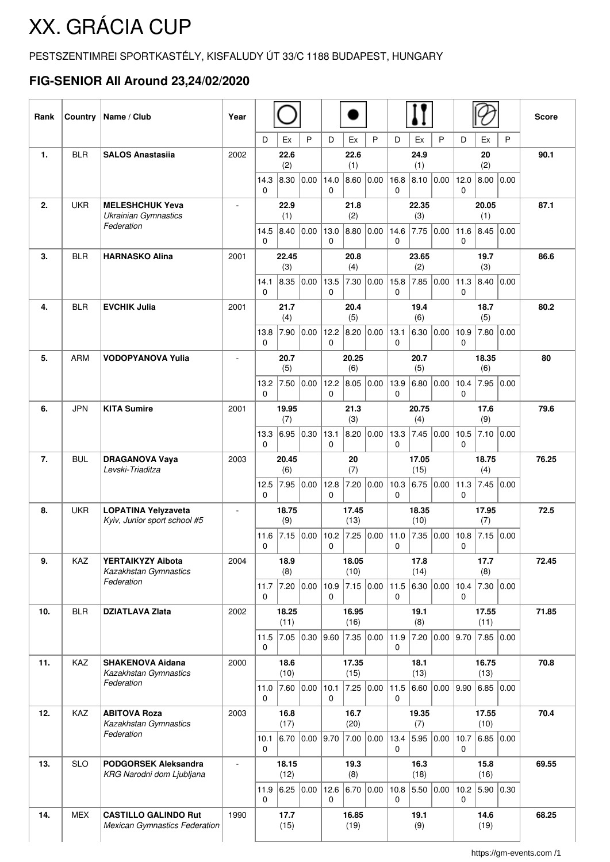## XX. GRÁCIA CUP

## PESTSZENTIMREI SPORTKASTÉLY, KISFALUDY ÚT 33/C 1188 BUDAPEST, HUNGARY

## **FIG-SENIOR All Around 23,24/02/2020**

| Rank         | Country    | Name / Club                                                         | Year                     |                      |                         |                    |                      |                       |                               |                      |                     |              |                          |                   |       | <b>Score</b> |
|--------------|------------|---------------------------------------------------------------------|--------------------------|----------------------|-------------------------|--------------------|----------------------|-----------------------|-------------------------------|----------------------|---------------------|--------------|--------------------------|-------------------|-------|--------------|
|              |            |                                                                     |                          | D                    | Ex                      | P                  | D                    | Ex                    | P                             | D                    | Ex                  | P            | D                        | Ex                | P     |              |
| $\mathbf{1}$ | <b>BLR</b> | <b>SALOS Anastasija</b>                                             | 2002                     | 14.3                 | 22.6<br>(2)<br>8.30     | 0.00               | 14.0                 | 22.6<br>(1)<br> 8.60  | 0.00                          | 16.8                 | 24.9<br>(1)<br>8.10 | 0.00         | 12.0                     | 20<br>(2)<br>8.00 | 0.00  | 90.1         |
|              |            |                                                                     |                          | 0                    |                         |                    | $\mathbf{0}$         |                       |                               | 0                    |                     |              | $\mathbf{0}$             |                   |       |              |
| 2.           | <b>UKR</b> | <b>MELESHCHUK Yeva</b>                                              | ÷,                       |                      | 22.9                    |                    |                      | 21.8                  |                               |                      | 22.35               |              |                          | 20.05             |       | 87.1         |
|              |            | <b>Ukrainian Gymnastics</b><br>Federation                           |                          | 14.5                 | (1)<br>8.40             | 0.00               | 13.0                 | (2)<br>8.80           | 0.00                          | 14.6                 | (3)                 | $7.75$ 0.00  | 11.6                     | (1)<br>8.45       | 0.00  |              |
|              |            |                                                                     |                          | $\mathbf{0}$         |                         |                    | $\Omega$             |                       |                               | $\Omega$             |                     |              | 0                        |                   |       |              |
| 3.           | <b>BLR</b> | <b>HARNASKO Alina</b>                                               | 2001                     | 22.45<br>(3)         |                         | 20.8<br>(4)        |                      |                       | 23.65<br>(2)                  |                      |                     | 19.7<br>(3)  |                          |                   | 86.6  |              |
|              |            |                                                                     |                          | 14.1<br>$\mathbf{0}$ | 8.35                    | 0.00               | 13.5<br>$\mathbf{0}$ | 7.30                  | 0.00                          | 15.8<br>$\mathbf{0}$ | 7.85                | 0.00         | 11.3<br>$\mathbf{0}$     | 8.40              | 0.00  |              |
| 4.           | <b>BLR</b> | <b>EVCHIK Julia</b>                                                 | 2001                     | 21.7                 |                         | 20.4               |                      | 19.4                  |                               |                      | 18.7                |              |                          | 80.2              |       |              |
|              |            |                                                                     |                          | 13.8                 | (4)<br>7.90             | 0.00               | 12.2                 | (5)<br>$ 8.20\rangle$ | 0.00                          | 13.1                 | (6)                 | 6.30   0.00  | 10.9                     | (5)<br>7.80 0.00  |       |              |
|              |            |                                                                     |                          | $\Omega$             |                         |                    | $\Omega$             |                       |                               | 0                    |                     |              | $\Omega$                 |                   |       |              |
| 5.           | <b>ARM</b> | <b>VODOPYANOVA Yulia</b>                                            | $\blacksquare$           | 20.7<br>(5)          |                         |                    | 20.25<br>(6)         |                       |                               | 20.7<br>(5)          |                     |              | 18.35<br>(6)             |                   |       | 80           |
|              |            |                                                                     |                          | 13.2<br>$\mathbf 0$  | 7.50                    | 0.00               | 12.2<br>0            | 8.05                  | 0.00                          | 13.9<br>0            | 6.80                | 0.00         | 10.4<br>0                | 7.95              | 0.00  |              |
| 6.           | <b>JPN</b> | <b>KITA Sumire</b>                                                  | 2001                     |                      | 19.95                   |                    |                      | 21.3                  |                               |                      | 20.75               |              |                          | 17.6              |       | 79.6         |
|              |            |                                                                     |                          |                      | (7)                     |                    |                      | (3)                   |                               |                      | (4)                 |              |                          | (9)               |       |              |
|              |            |                                                                     |                          | 13.3<br>$\mathbf 0$  | 6.95                    | 0.30               | 13.1<br>0            | 8.20                  | 0.00                          | 13.3<br>0            | 7.45                | 0.00         | 10.5<br>$\mathbf{0}$     | 7.10              | 0.00  |              |
| 7.           | <b>BUL</b> | <b>DRAGANOVA Vaya</b><br>Levski-Triaditza                           | 2003                     | 20.45<br>(6)         |                         | 20<br>(7)          |                      |                       | 17.05<br>(15)                 |                      |                     | 18.75<br>(4) |                          |                   | 76.25 |              |
|              |            |                                                                     |                          | 12.5                 | 7.95                    | 0.00               | 12.8                 | 7.20                  | 0.00                          | 10.3                 |                     | 6.75 0.00    | 11.3                     | 7.45 0.00         |       |              |
|              |            |                                                                     |                          | $\mathbf{0}$         |                         |                    | $\Omega$             | 17.45                 |                               | $\Omega$             | 18.35               |              | $\Omega$                 | 17.95             |       |              |
| 8.           | <b>UKR</b> | <b>LOPATINA Yelyzaveta</b><br>Kyiv, Junior sport school #5          | $\overline{\phantom{a}}$ |                      | 18.75<br>(9)            |                    | (13)                 |                       |                               | (10)                 |                     |              | (7)                      |                   |       | 72.5         |
|              |            |                                                                     |                          | 11.6<br>0            |                         | $7.15$ 0.00        | 10.2<br>0            | 7.25                  | 0.00                          | 11.0<br>0            |                     | 7.35 0.00    | 10.8<br>0                | 7.15 0.00         |       |              |
| 9.           | KAZ        | YERTAIKYZY Aibota                                                   | 2004                     | 18.9                 |                         | 18.05              |                      | 17.8                  |                               |                      | 17.7                |              |                          | 72.45             |       |              |
|              |            | Kazakhstan Gymnastics<br>Federation                                 |                          |                      | (8)<br>11.7 $ 7.20$     | 0.00 10.9          |                      | (10)                  | 7.15 0.00 11.5 6.30 0.00 10.4 |                      | (14)                |              |                          | (8)<br> 7.30 0.00 |       |              |
|              |            |                                                                     |                          | $\mathbf{0}$         |                         |                    | $\mathbf{0}$         |                       |                               | 0                    |                     |              | $\mathbf{0}$             |                   |       |              |
| 10.          | <b>BLR</b> | <b>DZIATLAVA Zlata</b>                                              | 2002                     |                      | 18.25<br>(11)           |                    | 16.95<br>(16)        |                       |                               | 19.1<br>(8)          |                     |              | 17.55<br>(11)            |                   |       | 71.85        |
|              |            |                                                                     |                          | 0                    | $11.5$ 7.05             | $\vert 0.30 \vert$ | 9.60                 |                       | 7.35 0.00                     | 11.9<br>0            | 7.20                |              | 0.00 9.70                | 7.85 0.00         |       |              |
| 11.          | KAZ        | <b>SHAKENOVA Aidana</b><br>Kazakhstan Gymnastics<br>Federation      | 2000                     | 18.6                 |                         |                    | 17.35                |                       |                               | 18.1                 |                     |              | 16.75                    |                   |       | 70.8         |
|              |            |                                                                     |                          | 11.0                 | (10)<br> 7.60 0.00 10.1 |                    |                      | (15)                  | 7.25 0.00 11.5                |                      | (13)                |              | 6.60 0.00 9.90 6.85 0.00 | (13)              |       |              |
|              |            |                                                                     |                          | $\mathbf 0$          |                         |                    | 0                    |                       |                               | $\mathbf 0$          |                     |              |                          |                   |       |              |
| 12.          | KAZ        | <b>ABITOVA Roza</b><br>Kazakhstan Gymnastics                        | 2003                     | 16.8<br>(17)         |                         | 16.7<br>(20)       |                      | 19.35<br>(7)          |                               |                      | 17.55<br>(10)       |              |                          | 70.4              |       |              |
|              |            | Federation                                                          |                          | 10.1                 | 6.70                    | 0.00               | 9.70                 | 7.00                  | 0.00                          | 13.4                 |                     | 5.95 0.00    | 10.7                     | 6.85 0.00         |       |              |
| 13.          | <b>SLO</b> | <b>PODGORSEK Aleksandra</b><br>KRG Narodni dom Ljubljana            | ÷,                       | 0<br>18.15           |                         |                    |                      | 19.3                  |                               | 0                    | 16.3                |              | 0                        | 15.8              |       | 69.55        |
|              |            |                                                                     |                          |                      | (12)                    |                    |                      | (8)                   |                               | (18)<br> 5.50 0.00   |                     |              | (16)<br> 5.90 0.30       |                   |       |              |
|              |            |                                                                     |                          | $\Omega$             |                         | 11.9 6.25 0.00     | 12.6<br>$\mathbf{0}$ | 6.70                  | 0.00                          | 10.8<br>0            |                     |              | 10.2<br>$\mathbf{0}$     |                   |       |              |
| 14.          | <b>MEX</b> | <b>CASTILLO GALINDO Rut</b><br><b>Mexican Gymnastics Federation</b> | 1990                     |                      | 17.7<br>(15)            |                    |                      | 16.85                 |                               |                      | 19.1<br>(9)         |              |                          | 14.6              |       | 68.25        |
|              |            |                                                                     |                          |                      |                         |                    |                      | (19)                  |                               |                      |                     |              |                          | (19)              |       |              |

https://gm-events.com /1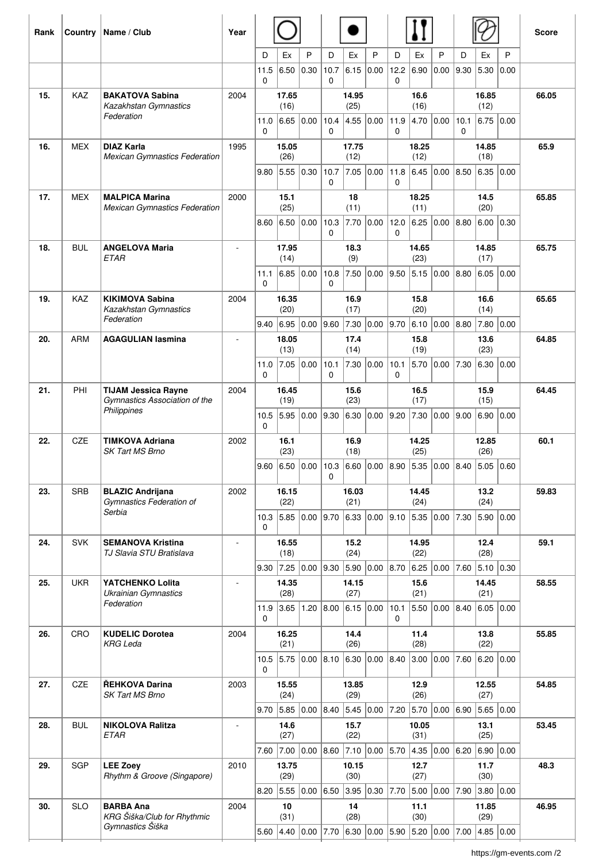| Rank | Country    | Name / Club                                                                | Year           |                           |                                                   |              |                                                                              |                   |                                                                               |                      |                         |                            |                       | <b>Score</b>  |           |       |  |
|------|------------|----------------------------------------------------------------------------|----------------|---------------------------|---------------------------------------------------|--------------|------------------------------------------------------------------------------|-------------------|-------------------------------------------------------------------------------|----------------------|-------------------------|----------------------------|-----------------------|---------------|-----------|-------|--|
|      |            |                                                                            |                | D                         | Ex                                                | P            | D                                                                            | Ex                | P                                                                             | D                    | Ex                      | P                          | D                     | Ex            | P         |       |  |
|      |            |                                                                            |                | 11.5<br>$\Omega$          | 6.50                                              | 0.30         | 10.7<br>$\Omega$                                                             | 6.15              | 0.00                                                                          | 12.2<br>$\mathbf{0}$ | 6.90                    | 0.00                       | 9.30                  | 5.30          | 0.00      |       |  |
| 15.  | <b>KAZ</b> | <b>BAKATOVA Sabina</b><br>Kazakhstan Gymnastics<br>Federation              | 2004           |                           | 17.65                                             |              |                                                                              | 14.95             |                                                                               |                      | 16.6                    |                            |                       | 16.85         |           | 66.05 |  |
|      |            |                                                                            |                | 11.0                      | (16)<br>6.65                                      | 0.00         | 10.4                                                                         | (25)<br>4.55      | 0.00                                                                          | 11.9                 | (16)<br>4.70 0.00       |                            | 10.1                  | (12)<br>6.75  | 0.00      |       |  |
| 16.  | <b>MEX</b> | <b>DIAZ Karla</b>                                                          | 1995           | $\Omega$<br>15.05<br>(26) |                                                   |              | $\Omega$                                                                     | 17.75             |                                                                               | $\mathbf{0}$         | 18.25                   |                            | $\mathbf{0}$<br>14.85 |               |           | 65.9  |  |
|      |            | <b>Mexican Gymnastics Federation</b>                                       |                |                           |                                                   | (12)         |                                                                              | (12)<br>6.45 0.00 |                                                                               |                      | (18)                    |                            |                       |               |           |       |  |
|      |            |                                                                            |                | 9.80                      | 5.55                                              | 0.30         | 10.7<br>$\Omega$                                                             | 7.05              | 0.00                                                                          | 11.8<br>$\mathbf{0}$ |                         |                            | 8.50                  | 6.35          | 0.00      |       |  |
| 17.  | <b>MEX</b> | <b>MALPICA Marina</b><br><b>Mexican Gymnastics Federation</b>              | 2000           |                           | 15.1<br>(25)                                      |              | 18<br>(11)                                                                   |                   | 18.25<br>(11)                                                                 |                      |                         | 14.5<br>(20)               |                       |               | 65.85     |       |  |
|      |            |                                                                            |                | 8.60                      | 6.50                                              | 0.00         | 10.3<br>$\Omega$                                                             | 7.70              | 0.00                                                                          | 12.0<br>0            | 6.25                    | 0.00                       | 8.80                  | 6.00          | 0.30      |       |  |
| 18.  | <b>BUL</b> | <b>ANGELOVA Maria</b><br><b>ETAR</b>                                       |                |                           | 17.95<br>(14)                                     |              |                                                                              | 18.3<br>(9)       |                                                                               |                      | 14.65<br>(23)           |                            |                       | 14.85<br>(17) |           | 65.75 |  |
|      |            |                                                                            |                | 11.1<br>0                 | 6.85                                              | 0.00         | 10.8<br>$\mathbf{0}$                                                         | 7.50              | 0.00                                                                          | 9.50                 | 5.15                    | 0.00                       | 8.80                  | 6.05          | 0.00      |       |  |
| 19.  | <b>KAZ</b> | <b>KIKIMOVA Sabina</b>                                                     | 2004           |                           | 16.35                                             |              |                                                                              | 16.9              |                                                                               |                      | 15.8                    |                            |                       | 16.6          |           | 65.65 |  |
|      |            | Kazakhstan Gymnastics<br>Federation                                        |                | 9.40                      | (20)<br>6.95                                      | 0.00         | 9.60                                                                         | (17)<br>7.30      | $ 0.00 $ 9.70                                                                 |                      | (20)<br>6.10            | 0.00                       | 8.80                  | (14)<br>7.80  | 0.00      |       |  |
| 20.  | <b>ARM</b> | <b>AGAGULIAN lasmina</b>                                                   | $\overline{a}$ | 18.05                     |                                                   | 17.4         |                                                                              | 15.8              |                                                                               | 13.6                 |                         | 64.85                      |                       |               |           |       |  |
|      |            |                                                                            |                | 11.0                      | (13)<br>7.05                                      | 0.00         | 10.1                                                                         | (14)<br>7.30      | 0.00                                                                          | 10.1                 | (19)<br>5.70            | 0.00                       | 7.30                  | (23)<br> 6.30 | 0.00      |       |  |
| 21.  | PHI        | <b>TIJAM Jessica Rayne</b><br>Gymnastics Association of the<br>Philippines | 2004           | $\Omega$                  | 16.45                                             |              | $\Omega$                                                                     | 15.6              |                                                                               | $\mathbf{0}$         | 16.5                    |                            |                       | 15.9          |           | 64.45 |  |
|      |            |                                                                            |                |                           | (19)                                              |              |                                                                              | (23)              |                                                                               |                      | (17)                    |                            |                       | (15)          |           |       |  |
|      |            |                                                                            |                | 10.5<br>$\Omega$          | 5.95                                              | 0.00         | 9.30                                                                         | 6.30              | $\vert 0.00 \vert$                                                            | 9.20                 | 7.30                    | 0.00                       | 9.00                  | 6.90          | 0.00      |       |  |
| 22.  | <b>CZE</b> | <b>TIMKOVA Adriana</b><br><b>SK Tart MS Brno</b>                           | 2002           |                           | 16.1<br>(23)                                      |              |                                                                              | 16.9<br>(18)      |                                                                               |                      | 14.25<br>(25)           |                            |                       | 12.85<br>(26) |           | 60.1  |  |
|      |            |                                                                            |                |                           |                                                   |              | $\Omega$                                                                     |                   | 9.60 6.50 0.00 10.3 6.60 0.00 8.90 5.35 0.00 8.40 5.05 0.60                   |                      |                         |                            |                       |               |           |       |  |
| 23.  | <b>SRB</b> | <b>BLAZIC Andrijana</b><br>Gymnastics Federation of<br>Serbia              | 2002           |                           | 16.15<br>(22)                                     |              |                                                                              | 16.03<br>(21)     |                                                                               |                      | 14.45<br>(24)           |                            |                       | 13.2<br>(24)  |           | 59.83 |  |
|      |            |                                                                            |                |                           | 10.3 5.85 0.00 9.70 6.33                          |              |                                                                              |                   | 0.00 9.10                                                                     |                      | 5.35 0.00               |                            | 7.30                  | 5.90 0.00     |           |       |  |
| 24.  | <b>SVK</b> | <b>SEMANOVA Kristina</b><br>TJ Slavia STU Bratislava                       | ÷,             | 0                         | 16.55                                             |              |                                                                              | 15.2              |                                                                               |                      | 14.95                   |                            |                       | 12.4          |           | 59.1  |  |
|      |            |                                                                            |                |                           | (18)                                              |              |                                                                              | (24)              |                                                                               |                      | (22)                    |                            |                       | (28)          |           |       |  |
| 25.  | <b>UKR</b> | YATCHENKO Lolita                                                           |                |                           | 14.35                                             |              | 9.30 7.25 0.00 9.30 5.90 0.00 8.70<br>14.15<br>(27)<br>$1.20$ 8.00 6.15 0.00 |                   | 6.25 0.00 <br>15.6                                                            |                      | 7.60 5.10 0.30<br>14.45 |                            |                       | 58.55         |           |       |  |
|      |            | <b>Ukrainian Gymnastics</b><br>Federation                                  |                | (28)<br>3.65<br>11.9      |                                                   |              |                                                                              |                   |                                                                               | 10.1                 | (21)<br>5.50 0.00 8.40  |                            | (21)                  |               | 6.05 0.00 |       |  |
|      |            |                                                                            |                | $\Omega$                  |                                                   |              |                                                                              |                   |                                                                               | $\mathbf{0}$         |                         |                            |                       |               |           |       |  |
| 26.  | CRO        | <b>KUDELIC Dorotea</b><br><b>KRG Leda</b>                                  | 2004           |                           | 16.25<br>(21)                                     |              |                                                                              | 14.4<br>(26)      |                                                                               |                      | 11.4<br>(28)            |                            |                       | 13.8<br>(22)  |           | 55.85 |  |
|      |            |                                                                            |                | 10.5<br>$\Omega$          | 5.75 0.00 8.10 6.30                               |              |                                                                              |                   | 0.00 8.40                                                                     |                      |                         | 3.00 0.00                  | 7.60                  | 6.20          | 0.00      |       |  |
| 27.  | CZE        | ŘEHKOVA Darina<br>SK Tart MS Brno                                          | 2003           |                           | 15.55<br>(24)                                     |              |                                                                              | 13.85<br>(29)     |                                                                               |                      | 12.9<br>(26)            |                            |                       | 12.55<br>(27) |           | 54.85 |  |
|      |            |                                                                            |                | 9.70                      | 5.85                                              |              |                                                                              |                   | $\vert 0.00 \vert 8.40 \vert 5.45 \vert 0.00 \vert$                           |                      |                         | 7.20 $ 5.70 0.00 6.90$     |                       | 5.65   0.00   |           |       |  |
| 28.  | <b>BUL</b> | <b>NIKOLOVA Ralitza</b><br><b>ETAR</b>                                     | $\sim$         | 14.6<br>(27)              |                                                   | 15.7<br>(22) |                                                                              | 10.05<br>(31)     |                                                                               |                      | 13.1<br>(25)            |                            |                       | 53.45         |           |       |  |
|      |            |                                                                            |                | 7.60                      |                                                   |              |                                                                              |                   | $\vert$ 7.00 $\vert$ 0.00 $\vert$ 8.60 $\vert$ 7.10 $\vert$ 0.00 $\vert$ 5.70 |                      |                         | 4.35 0.00                  | 6.20                  | 6.90 0.00     |           |       |  |
| 29.  | <b>SGP</b> | <b>LEE Zoey</b><br>Rhythm & Groove (Singapore)                             | 2010           | 13.75<br>(29)             |                                                   |              | 10.15<br>(30)                                                                |                   | 12.7<br>(27)                                                                  |                      |                         | 11.7<br>(30)               |                       |               | 48.3      |       |  |
|      |            |                                                                            |                | 8.20                      | 5.55                                              |              | $0.00$ 6.50                                                                  |                   | $3.95$ 0.30 7.70                                                              |                      |                         | $5.00 \mid 0.00 \mid 7.90$ |                       | 3.80   0.00   |           |       |  |
| 30.  | <b>SLO</b> | <b>BARBA Ana</b><br>KRG Šiška/Club for Rhythmic                            | 2004           |                           | 10<br>(31)                                        |              |                                                                              | 14<br>(28)        |                                                                               |                      | 11.1<br>(30)            |                            |                       | 11.85<br>(29) |           | 46.95 |  |
|      |            | Gymnastics Šiška                                                           |                |                           | 5.60 4.40 0.00 7.70 6.30 0.00 5.90 5.20 0.00 7.00 |              |                                                                              |                   |                                                                               |                      |                         |                            |                       | 4.85 0.00     |           |       |  |

https://gm-events.com /2